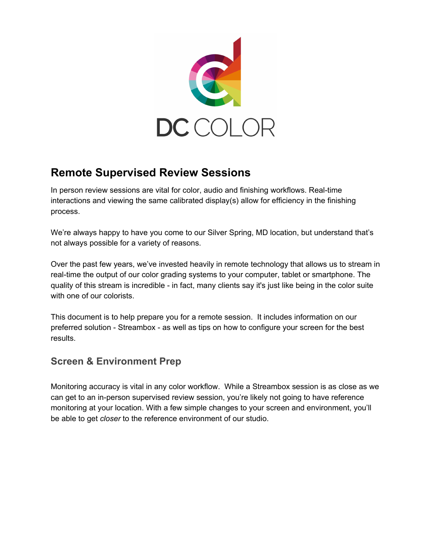

# **Remote Supervised Review Sessions**

In person review sessions are vital for color, audio and finishing workflows. Real-time interactions and viewing the same calibrated display(s) allow for efficiency in the finishing process.

We're always happy to have you come to our Silver Spring, MD location, but understand that's not always possible for a variety of reasons.

Over the past few years, we've invested heavily in remote technology that allows us to stream in real-time the output of our color grading systems to your computer, tablet or smartphone. The quality of this stream is incredible - in fact, many clients say it's just like being in the color suite with one of our colorists.

This document is to help prepare you for a remote session. It includes information on our preferred solution - Streambox - as well as tips on how to configure your screen for the best results.

# **Screen & Environment Prep**

Monitoring accuracy is vital in any color workflow. While a Streambox session is as close as we can get to an in-person supervised review session, you're likely not going to have reference monitoring at your location. With a few simple changes to your screen and environment, you'll be able to get *closer* to the reference environment of our studio.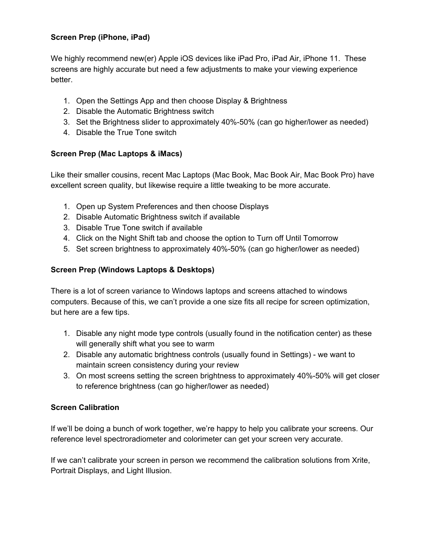### **Screen Prep (iPhone, iPad)**

We highly recommend new(er) Apple iOS devices like iPad Pro, iPad Air, iPhone 11. These screens are highly accurate but need a few adjustments to make your viewing experience better.

- 1. Open the Settings App and then choose Display & Brightness
- 2. Disable the Automatic Brightness switch
- 3. Set the Brightness slider to approximately 40%-50% (can go higher/lower as needed)
- 4. Disable the True Tone switch

### **Screen Prep (Mac Laptops & iMacs)**

Like their smaller cousins, recent Mac Laptops (Mac Book, Mac Book Air, Mac Book Pro) have excellent screen quality, but likewise require a little tweaking to be more accurate.

- 1. Open up System Preferences and then choose Displays
- 2. Disable Automatic Brightness switch if available
- 3. Disable True Tone switch if available
- 4. Click on the Night Shift tab and choose the option to Turn off Until Tomorrow
- 5. Set screen brightness to approximately 40%-50% (can go higher/lower as needed)

### **Screen Prep (Windows Laptops & Desktops)**

There is a lot of screen variance to Windows laptops and screens attached to windows computers. Because of this, we can't provide a one size fits all recipe for screen optimization, but here are a few tips.

- 1. Disable any night mode type controls (usually found in the notification center) as these will generally shift what you see to warm
- 2. Disable any automatic brightness controls (usually found in Settings) we want to maintain screen consistency during your review
- 3. On most screens setting the screen brightness to approximately 40%-50% will get closer to reference brightness (can go higher/lower as needed)

### **Screen Calibration**

If we'll be doing a bunch of work together, we're happy to help you calibrate your screens. Our reference level spectroradiometer and colorimeter can get your screen very accurate.

If we can't calibrate your screen in person we recommend the calibration solutions from Xrite, Portrait Displays, and Light Illusion.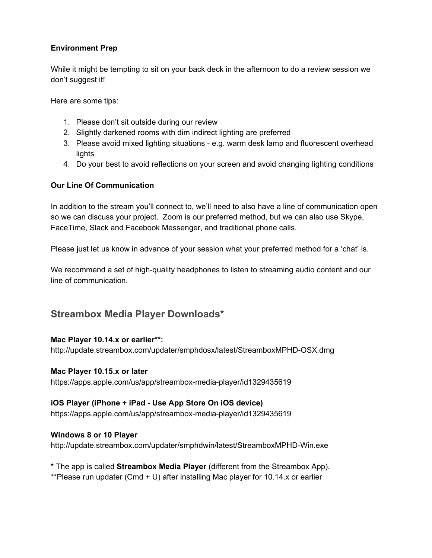### **Environment Prep**

While it might be tempting to sit on your back deck in the afternoon to do a review session we don't suggest it!

Here are some tips:

- 1. Please don't sit outside during our review
- 2. Slightly darkened rooms with dim indirect lighting are preferred
- 3. Please avoid mixed lighting situations e.g. warm desk lamp and fluorescent overhead lights
- 4. Do your best to avoid reflections on your screen and avoid changing lighting conditions

#### **Our Line Of Communication**

In addition to the stream you'll connect to, we'll need to also have a line of communication open so we can discuss your project. Zoom is our preferred method, but we can also use Skype, FaceTime, Slack and Facebook Messenger, and traditional phone calls.

Please just let us know in advance of your session what your preferred method for a 'chat' is.

We recommend a set of high-quality headphones to listen to streaming audio content and our line of communication.

### **Streambox Media Player Downloads\***

#### **Mac Player 10.14.x or earlier\*\*:**

http://update.streambox.com/updater/smphdosx/latest/StreamboxMPHD-OSX.dmg

#### **Mac Player 10.15.x or later**

https://apps.apple.com/us/app/streambox-media-player/id1329435619

### **iOS Player (iPhone + iPad - Use App Store On iOS device)**

https://apps.apple.com/us/app/streambox-media-player/id1329435619

#### **Windows 8 or 10 Player**

http://update.streambox.com/updater/smphdwin/latest/StreamboxMPHD-Win.exe

\* The app is called **Streambox Media Player** (different from the Streambox App).

\*\*Please run updater (Cmd + U) after installing Mac player for 10.14.x or earlier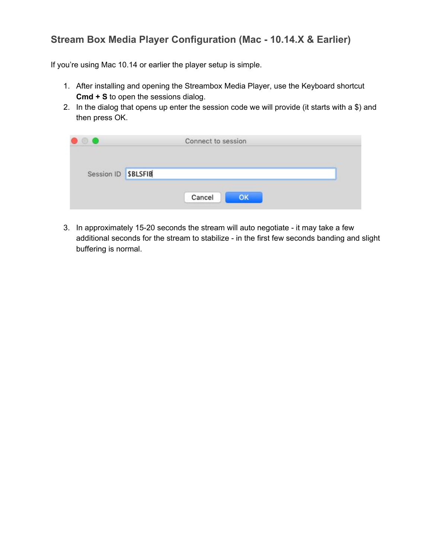## **Stream Box Media Player Configuration (Mac - 10.14.X & Earlier)**

If you're using Mac 10.14 or earlier the player setup is simple.

- 1. After installing and opening the Streambox Media Player, use the Keyboard shortcut **Cmd + S** to open the sessions dialog.
- 2. In the dialog that opens up enter the session code we will provide (it starts with a \$) and then press OK.

|                    | Connect to session |  |
|--------------------|--------------------|--|
| Session ID SBLSFIB |                    |  |
|                    | Cancel<br>OK       |  |

3. In approximately 15-20 seconds the stream will auto negotiate - it may take a few additional seconds for the stream to stabilize - in the first few seconds banding and slight buffering is normal.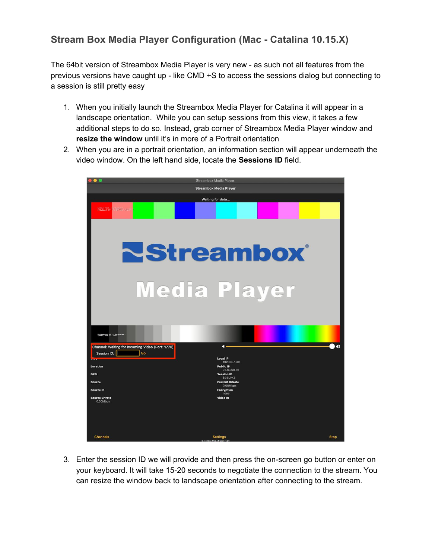# **Stream Box Media Player Configuration (Mac - Catalina 10.15.X)**

The 64bit version of Streambox Media Player is very new - as such not all features from the previous versions have caught up - like CMD +S to access the sessions dialog but connecting to a session is still pretty easy

- 1. When you initially launch the Streambox Media Player for Catalina it will appear in a landscape orientation. While you can setup sessions from this view, it takes a few additional steps to do so. Instead, grab corner of Streambox Media Player window and **resize the window** until it's in more of a Portrait orientation
- 2. When you are in a portrait orientation, an information section will appear underneath the video window. On the left hand side, locate the **Sessions ID** field.



3. Enter the session ID we will provide and then press the on-screen go button or enter on your keyboard. It will take 15-20 seconds to negotiate the connection to the stream. You can resize the window back to landscape orientation after connecting to the stream.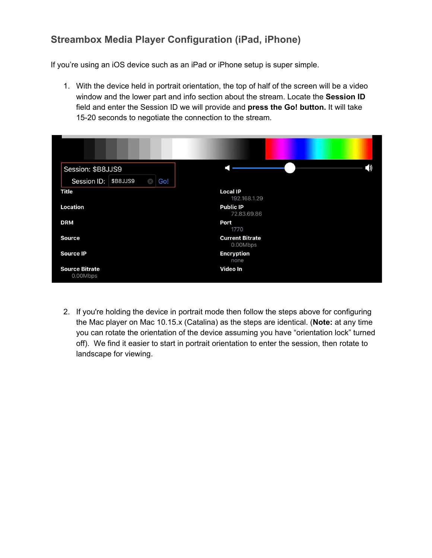# **Streambox Media Player Configuration (iPad, iPhone)**

If you're using an iOS device such as an iPad or iPhone setup is super simple.

1. With the device held in portrait orientation, the top of half of the screen will be a video window and the lower part and info section about the stream. Locate the **Session ID** field and enter the Session ID we will provide and **press the Go! button.** It will take 15-20 seconds to negotiate the connection to the stream.

| Session: \$B8JJS9                          |                                    |
|--------------------------------------------|------------------------------------|
| Session ID:<br><b>\$B8JJS9</b><br>Go!<br>a |                                    |
| <b>Title</b>                               | <b>Local IP</b><br>192.168.1.29    |
| Location                                   | <b>Public IP</b><br>72.83.69.86    |
| <b>DRM</b>                                 | Port<br>1770                       |
| <b>Source</b>                              | <b>Current Bitrate</b><br>0.00Mbps |
| <b>Source IP</b>                           | <b>Encryption</b><br>none          |
| <b>Source Bitrate</b><br>0.00Mbps          | Video In                           |

2. If you're holding the device in portrait mode then follow the steps above for configuring the Mac player on Mac 10.15.x (Catalina) as the steps are identical. (**Note:** at any time you can rotate the orientation of the device assuming you have "orientation lock" turned off). We find it easier to start in portrait orientation to enter the session, then rotate to landscape for viewing.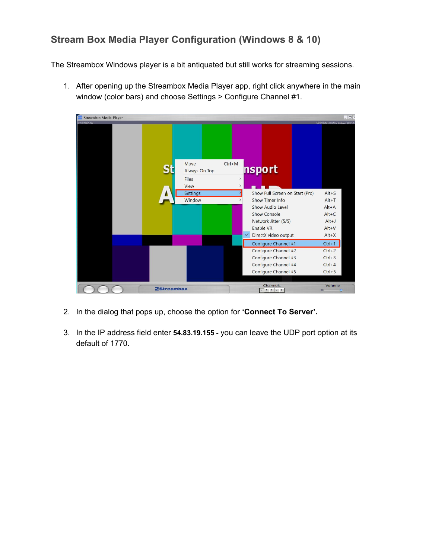# **Stream Box Media Player Configuration (Windows 8 & 10)**

The Streambox Windows player is a bit antiquated but still works for streaming sessions.

1. After opening up the Streambox Media Player app, right click anywhere in the main window (color bars) and choose Settings > Configure Channel #1.



- 2. In the dialog that pops up, choose the option for **'Connect To Server'.**
- 3. In the IP address field enter **54.83.19.155** you can leave the UDP port option at its default of 1770.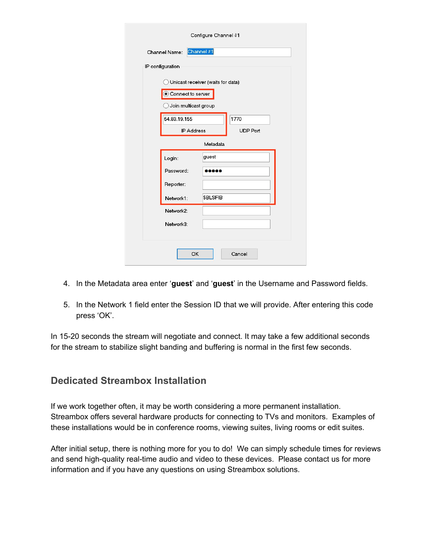|          | Configure Channel #1                                                           |                         |  |  |  |  |
|----------|--------------------------------------------------------------------------------|-------------------------|--|--|--|--|
|          | Channel #1<br>Channel Name:                                                    |                         |  |  |  |  |
|          | IP configuration                                                               |                         |  |  |  |  |
|          | Unicast receiver (waits for data)<br>Connect to server<br>Join multicast group |                         |  |  |  |  |
|          | 54.83.19.155<br><b>IP Address</b>                                              | 1770<br><b>UDP Port</b> |  |  |  |  |
| Metadata |                                                                                |                         |  |  |  |  |
|          | Login:                                                                         | guest                   |  |  |  |  |
|          | Password:                                                                      |                         |  |  |  |  |
|          | Reporter:                                                                      |                         |  |  |  |  |
|          | Network1:                                                                      | <b>\$BLSFIB</b>         |  |  |  |  |
|          | Network2:                                                                      |                         |  |  |  |  |
|          | Network3:                                                                      |                         |  |  |  |  |
|          | <b>OK</b>                                                                      | Cancel                  |  |  |  |  |

- 4. In the Metadata area enter '**guest**' and '**guest**' in the Username and Password fields.
- 5. In the Network 1 field enter the Session ID that we will provide. After entering this code press 'OK'.

In 15-20 seconds the stream will negotiate and connect. It may take a few additional seconds for the stream to stabilize slight banding and buffering is normal in the first few seconds.

### **Dedicated Streambox Installation**

If we work together often, it may be worth considering a more permanent installation. Streambox offers several hardware products for connecting to TVs and monitors. Examples of these installations would be in conference rooms, viewing suites, living rooms or edit suites.

After initial setup, there is nothing more for you to do! We can simply schedule times for reviews and send high-quality real-time audio and video to these devices. Please contact us for more information and if you have any questions on using Streambox solutions.